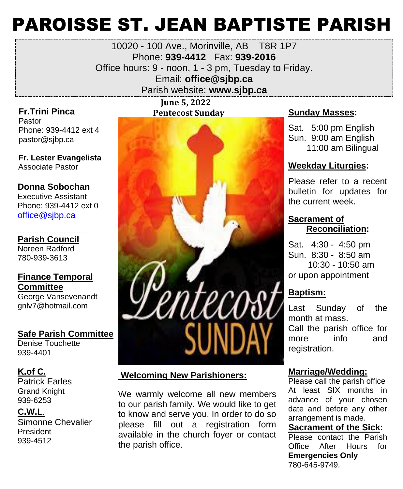# PAROISSE ST. JEAN BAPTISTE PARISH

### 10020 - 100 Ave., Morinville, AB T8R 1P7 Phone: **939-4412** Fax: **939-2016** Office hours: 9 - noon, 1 - 3 pm, Tuesday to Friday. Email: **office@sjbp.ca** Parish website: **[www.sjbp.ca](http://www.sjbp.ca/)**

**Fr.Trini Pinca** Pastor Phone: 939-4412 ext 4 pastor@sjbp.ca

**Fr. Lester Evangelista** A Associate Pastor

#### **Donna Sobochan**

Executive Assistant Phone: 939-4412 ext 0 office@sjbp.ca

- - - - - - - - - - - - - - - - - - - - - - - - - - - - **Parish Council**

Noreen Radford 780-939-3613

#### **Finance Temporal Committee**

George Vansevenandt gnlv7@hotmail.com

#### **Safe Parish Committee**

Denise Touchette 939-4401

#### **K.of C.**

Patrick Earles Grand Knight 939-6253

#### **C.W.L**.

Simonne Chevalier President 939-4512

 **June 5, 2022 Pentecost Sunday <b>Sunday Masses:** 



### **Welcoming New Parishioners:**

We warmly welcome all new members to our parish family. We would like to get to know and serve you. In order to do so please fill out a registration form available in the church foyer or contact the parish office.

Sat. 5:00 pm English Sun. 9:00 am English 11:00 am Bilingual

#### **Weekday Liturgies:**

Please refer to a recent bulletin for updates for the current week.

#### **Sacrament of Reconciliation:**

Sat. 4:30 - 4:50 pm Sun. 8:30 - 8:50 am 10:30 - 10:50 am or upon appointment

#### **Baptism:**

Last Sunday of the month at mass. Call the parish office for more info and registration.

#### **Marriage/Wedding:**

Please call the parish office At least SIX months in advance of your chosen date and before any other arrangement is made.

#### **Sacrament of the Sick:** Please contact the Parish Office After Hours for

**Emergencies Only** 780-645-9749.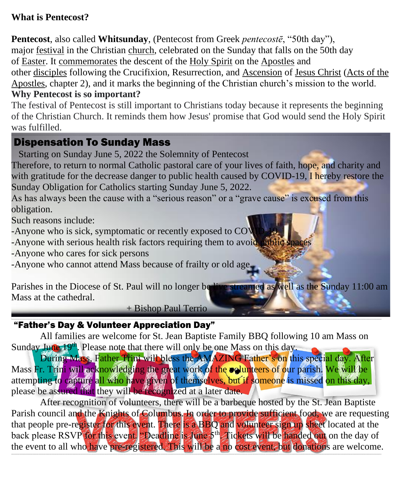### **What is Pentecost?**

**Pentecost**, also called **Whitsunday**, (Pentecost from Greek *pentecostē*, "50th day"), major [festival](https://www.britannica.com/topic/feast-religion) in the Christian [church,](https://www.britannica.com/topic/church-architecture) celebrated on the Sunday that falls on the 50th day of [Easter.](https://www.britannica.com/topic/Easter-holiday) It [commemorates](https://www.merriam-webster.com/dictionary/commemorates) the descent of the [Holy Spirit](https://www.britannica.com/topic/Holy-Spirit) on the [Apostles](https://www.britannica.com/topic/Apostle) and other [disciples](https://www.merriam-webster.com/dictionary/disciples) following the Crucifixion, Resurrection, and [Ascension](https://www.britannica.com/topic/Ascension-Christianity) of [Jesus Christ](https://www.britannica.com/biography/Jesus) [\(Acts of the](https://www.britannica.com/topic/The-Acts-of-the-Apostles-New-Testament)  [Apostles,](https://www.britannica.com/topic/The-Acts-of-the-Apostles-New-Testament) chapter 2), and it marks the beginning of the Christian church's mission to the world.

### **Why Pentecost is so important?**

The festival of Pentecost is still important to Christians today because it represents the beginning of the Christian Church. It reminds them how Jesus' promise that God would send the Holy Spirit was fulfilled.

### Dispensation To Sunday Mass

Starting on Sunday June 5, 2022 the Solemnity of Pentecost

Therefore, to return to normal Catholic pastoral care of your lives of faith, hope, and charity and with gratitude for the decrease danger to public health caused by COVID-19, I hereby restore the Sunday Obligation for Catholics starting Sunday June 5, 2022.

As has always been the cause with a "serious reason" or a "grave cause" is excused from this obligation.

Such reasons include:

-Anyone who is sick, symptomatic or recently exposed to CO<sup>V</sup>

-Anyone with serious health risk factors requiring them to avoid public

-Anyone who cares for sick persons

-Anyone who cannot attend Mass because of frailty or old age.

Parishes in the Diocese of St. Paul will no longer be live streamed as well as the Sunday 11:00 am Mass at the cathedral.

+ Bishop Paul Terrio

#### ,我们就会不能让我们的事情。""我们的事情,我们就会不能让我们的事情。""我们的事情,我们就会不能让我们的事情。""我们的事情,我们就会不能让我们的事情。""我们 "Father's Day & Volunteer Appreciation Day"

All families are welcome for St. Jean Baptiste Family BBQ following 10 am Mass on Sunday June 19<sup>th</sup>. Please note that there will only be one Mass on this day.

During Mass, Father Trini will bless the AMAZING Father's on this special day. After Mass Fr. Trini will as knowledging the great work of the **colunteers of our parish.** We will be attempting to capture all who have given of themselves, but if someone is missed on this day, please be assured that they will be recognized at a later date.

After recognition of volunteers, there will be a barbeque hosted by the St. Jean Baptiste Parish council and the Knights of Columbus. In order to provide sufficient food, we are requesting that people pre-register for this event. There is a BBQ and volunteer sign up sheet located at the back please RSVP for this event. "Deadline is June 5<sup>th</sup>. Tickets will be handed out on the day of the event to all who have pre-registered. This will be a no cost event, but donations are welcome. \_\_\_\_\_\_\_\_\_\_\_\_\_\_\_\_\_\_\_\_\_\_\_\_\_\_\_\_\_\_\_\_\_\_\_\_\_\_\_\_\_\_\_\_\_\_\_\_\_\_\_\_\_\_\_\_\_\_\_\_\_\_\_\_\_\_\_\_\_\_\_\_\_\_\_\_\_\_\_\_\_\_\_\_\_\_\_\_\_\_\_\_\_\_\_\_\_\_\_\_\_\_\_\_\_\_\_\_\_\_\_\_\_\_\_\_\_\_\_\_\_\_\_\_\_\_\_\_\_\_\_\_\_\_\_\_\_\_\_\_\_\_\_\_\_\_\_\_\_\_\_\_\_\_\_\_\_\_\_\_\_\_\_\_\_\_\_\_\_\_\_\_\_\_\_\_\_\_\_\_\_\_\_\_\_\_\_\_\_\_\_\_\_\_\_\_\_\_\_\_\_\_\_\_\_\_\_\_\_\_\_\_\_\_\_\_\_\_\_\_\_\_\_\_\_\_\_\_\_\_\_\_\_\_\_\_\_\_\_\_\_\_\_\_\_\_\_\_\_\_\_\_\_\_\_\_\_\_\_\_\_\_\_\_\_\_\_\_\_\_\_\_\_\_\_\_\_\_\_\_\_\_\_\_\_\_\_\_\_\_\_\_\_\_\_\_\_\_\_\_\_\_\_\_\_\_\_\_\_\_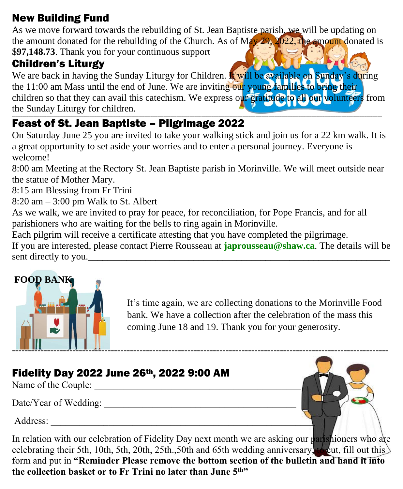### New Building Fund

As we move forward towards the rebuilding of St. Jean Baptiste parish, we will be updating on the amount donated for the rebuilding of the Church. As of  $M_{4V}$  29, 2022, the amount donated is \$**97,148.73**. Thank you for your continuous support

### Children's Liturgy

We are back in having the Sunday Liturgy for Children. It will be available on Sunday's during the 11:00 am Mass until the end of June. We are inviting our young families to bring their children so that they can avail this catechism. We express our gratitude to all our volunteers from the Sunday Liturgy for children.

#### \_\_\_\_\_\_\_\_\_\_\_\_\_\_\_\_\_\_\_\_\_\_\_\_\_\_\_\_\_\_\_\_\_\_\_\_\_\_\_\_\_\_\_\_\_\_\_\_\_\_\_\_\_\_\_\_\_\_\_\_\_\_\_\_\_\_\_\_\_\_\_\_\_\_\_\_\_\_\_\_\_\_\_\_\_\_\_\_\_\_\_\_\_\_\_\_\_\_\_\_\_\_\_\_\_\_\_\_\_\_\_\_\_\_\_\_\_\_\_\_\_\_\_\_\_\_\_\_\_\_\_\_\_\_\_\_\_\_\_\_\_\_\_\_\_\_\_\_\_\_\_\_\_\_\_\_\_\_\_\_\_\_\_\_\_\_\_\_\_\_\_\_\_\_\_\_\_\_\_\_\_\_\_\_\_\_\_\_\_\_\_\_\_\_\_\_\_\_\_\_\_\_\_\_\_\_\_\_\_\_\_\_\_\_\_\_\_\_\_\_\_\_\_\_\_\_\_\_\_\_\_\_\_\_\_\_\_\_\_\_\_\_\_\_\_\_\_\_\_\_\_\_\_\_\_\_\_\_\_\_\_\_\_\_\_\_\_\_\_\_\_\_\_\_\_\_\_\_\_\_\_\_\_\_\_\_\_\_\_\_\_\_\_\_\_\_\_\_\_\_\_\_\_\_\_\_\_\_\_\_ Feast of St. Jean Baptiste – Pilgrimage 2022

On Saturday June 25 you are invited to take your walking stick and join us for a 22 km walk. It is a great opportunity to set aside your worries and to enter a personal journey. Everyone is welcome!

8:00 am Meeting at the Rectory St. Jean Baptiste parish in Morinville. We will meet outside near the statue of Mother Mary.

8:15 am Blessing from Fr Trini

8:20 am – 3:00 pm Walk to St. Albert

As we walk, we are invited to pray for peace, for reconciliation, for Pope Francis, and for all parishioners who are waiting for the bells to ring again in Morinville.

Each pilgrim will receive a certificate attesting that you have completed the pilgrimage.

If you are interested, please contact Pierre Rousseau at **[japrousseau@shaw.ca](mailto:japrousseau@shaw.ca)**. The details will be sent directly to you.



It's time again, we are collecting donations to the Morinville Food bank. We have a collection after the celebration of the mass this coming June 18 and 19. Thank you for your generosity.

### Fidelity Day 2022 June 26th, 2022 9:00 AM

Name of the Couple:

Date/Year of Wedding:

Address:



In relation with our celebration of Fidelity Day next month we are asking our parishioners who are celebrating their 5th, 10th, 5th, 20th, 25th., 50th and 65th wedding anniversary, to cut, fill out this form and put in **"Reminder Please remove the bottom section of the bulletin and hand it into the collection basket or to Fr Trini no later than June 5th"**